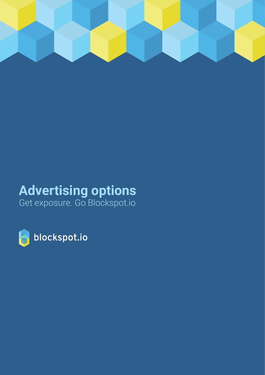

# **Advertising options**

Get exposure. Go Blockspot.io

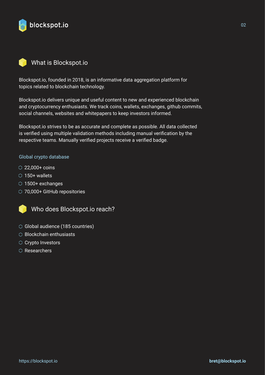

## What is Blockspot.io

Blockspot.io, founded in 2018, is an informative data aggregation platform for topics related to blockchain technology.

Blockspot.io delivers unique and useful content to new and experienced blockchain and cryptocurrency enthusiasts. We track coins, wallets, exchanges, github commits, social channels, websites and whitepapers to keep investors informed.

Blockspot.io strives to be as accurate and complete as possible. All data collected is verified using multiple validation methods including manual verification by the respective teams. Manually verified projects receive a verified badge.

#### Global crypto database

- $\circ$  22,000+ coins
- $\circ$  150+ wallets
- 1500+ exchanges
- 70,000+ GitHub repositories



Who does Blockspot.io reach?

- Global audience (185 countries)
- $\circlearrowright$  Blockchain enthusiasts
- Crypto Investors
- $\circlearrowright$  Researchers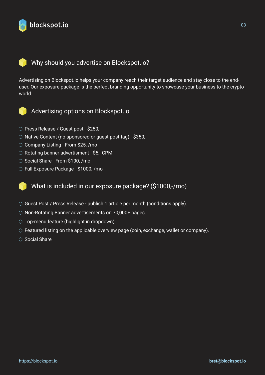

## Why should you advertise on Blockspot.io?

Advertising on Blockspot.io helps your company reach their target audience and stay close to the enduser. Our exposure package is the perfect branding opportunity to showcase your business to the crypto world.



Advertising options on Blockspot.io

- O Press Release / Guest post \$250,-
- $\circlearrowright$  Native Content (no sponsored or guest post tag) \$350,-
- ◯ Company Listing From \$25,-/mo
- $\circlearrowright$  Rotating banner advertisment \$5,- CPM
- ◯ Social Share From \$100,-/mo
- Full Exposure Package \$1000,-/mo

What is included in our exposure package? (\$1000,-/mo)

- $\circ$  Guest Post / Press Release publish 1 article per month (conditions apply).
- $\circ$  Non-Rotating Banner advertisements on 70,000+ pages.
- $\circlearrowright$  Top-menu feature (highlight in dropdown).
- $\circ$  Featured listing on the applicable overview page (coin, exchange, wallet or company).
- $\circ$  Social Share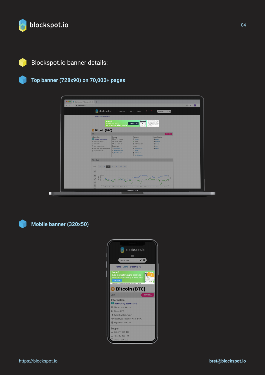

# Blockspot.io banner details:

#### **Top banner (728x90) on 70,000+ pages**

| $\leftarrow$<br>blockspot.io<br>$\rightarrow$<br>$\mathbf{C}$ |                                                                                                                |                                                                           |                                                                     |                                                                                                                                    | $\blacksquare$<br>☆<br>$\mathbf{B}$ |
|---------------------------------------------------------------|----------------------------------------------------------------------------------------------------------------|---------------------------------------------------------------------------|---------------------------------------------------------------------|------------------------------------------------------------------------------------------------------------------------------------|-------------------------------------|
|                                                               | blockspot.io                                                                                                   | Explore Data -                                                            | $Blog$ $\tau$<br>Contact $\sim$                                     | $\vee$ Q<br>Search here.                                                                                                           |                                     |
|                                                               |                                                                                                                |                                                                           |                                                                     |                                                                                                                                    |                                     |
|                                                               | Home - Coins - Bitcoin (BTC)                                                                                   |                                                                           |                                                                     |                                                                                                                                    |                                     |
|                                                               | <b>'eroro'</b>                                                                                                 |                                                                           | 5000                                                                | 75% of retail investor accounts<br>lose money when trading CFDs<br>with this provider, You should                                  |                                     |
|                                                               |                                                                                                                | A one-stop shop<br>for all your trading needs                             | Trade It All<br>۰,                                                  | consider whether you can afford<br>to take the high risk of looking<br>your money.                                                 |                                     |
|                                                               | <b>Bitcoin (BTC)</b>                                                                                           |                                                                           |                                                                     |                                                                                                                                    |                                     |
|                                                               | Coin                                                                                                           |                                                                           |                                                                     | BUY/SELL                                                                                                                           |                                     |
|                                                               | Information:<br><b>Ed Worldwide (Decentralized)</b><br><b>III</b> Blockchain: Bitcoin<br><b>Ist Ticker BTC</b> | Supply:<br>C Circ.": 17 309 400<br>Total: 17 309 400<br>D Max: 21 000 000 | Website:<br><b>Bitcoln.org</b><br>$\vee$ Online<br>& HTTP Code: 200 | <b>Social Media:</b><br><b>El</b> Twitter<br><b>El</b> Facebook<br><b>D</b> Youtube                                                |                                     |
|                                                               | T Type: Cryptocurrency<br>#24 Proof type: Proof-of-Work (PoW)<br>Algorithm: SHA256                             | Explorers:<br>Q Blockchain.info<br>Q Blockcypher.com                      | Links:<br>Announcement<br>O Gittub                                  | <b>El Reddit</b><br><b>C</b> Forum                                                                                                 |                                     |
|                                                               |                                                                                                                | Q Blockchair.com                                                          | <b>B</b> Whitepaper<br>C Github Statistics                          |                                                                                                                                    |                                     |
|                                                               | <b>Price Chart</b>                                                                                             |                                                                           |                                                                     |                                                                                                                                    |                                     |
|                                                               |                                                                                                                |                                                                           |                                                                     |                                                                                                                                    |                                     |
|                                                               | Zoom:<br>35<br>74                                                                                              | 1q.<br>ty YTD Max                                                         |                                                                     |                                                                                                                                    |                                     |
|                                                               | $\mathscr A$                                                                                                   |                                                                           |                                                                     |                                                                                                                                    |                                     |
|                                                               | 耍                                                                                                              |                                                                           |                                                                     |                                                                                                                                    |                                     |
|                                                               | 1                                                                                                              |                                                                           |                                                                     |                                                                                                                                    |                                     |
|                                                               | $\Lambda$                                                                                                      |                                                                           |                                                                     |                                                                                                                                    |                                     |
|                                                               | 田<br>0.556                                                                                                     |                                                                           |                                                                     | 4.8k<br>20. Mar 22. Mar 24. Mar 26. Mar 28. Mar 30. Mar 1. Apr 1. Apr 5. Apr 7. Apr 9. Apr 11. Apr 15. Apr 15. Apr 19. Apr 19. Apr |                                     |



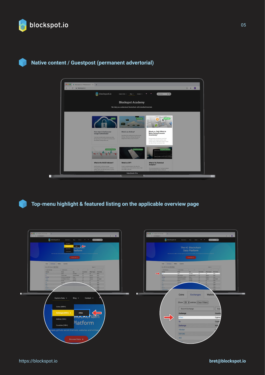

### **Native content / Guestpost (permanent advertorial)**



**Top-menu highlight & featured listing on the applicable overview page**